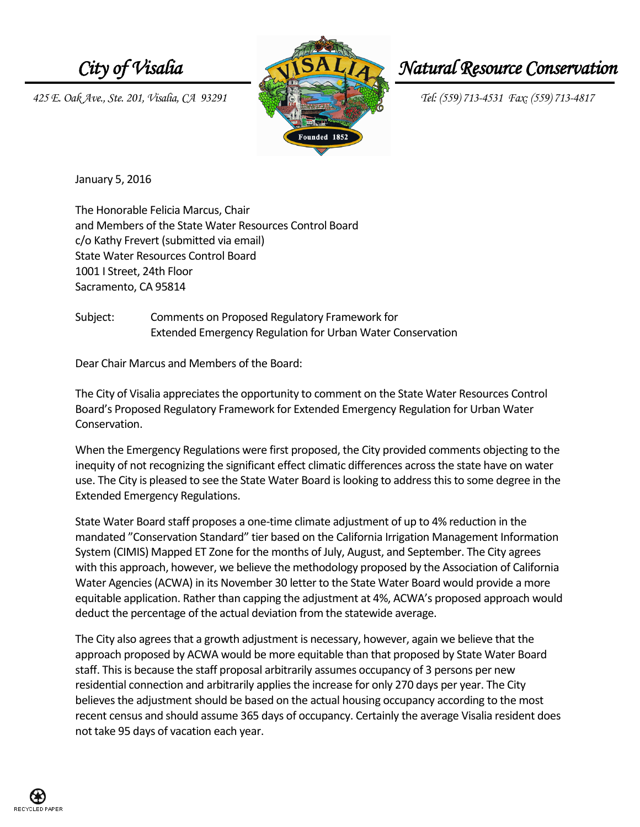*425 E. Oak Ave., Ste. 201, Visalia, CA 93291 Tel: (559) 713-4531 Fax: (559) 713-4817*



## *City of Visalia*  $\sqrt{NSALIA}$  Natural Resource Conservation

January 5, 2016

The Honorable Felicia Marcus, Chair and Members of the State Water Resources Control Board c/o Kathy Frevert (submitted via email) State Water Resources Control Board 1001 I Street, 24th Floor Sacramento, CA 95814

Subject: Comments on Proposed Regulatory Framework for Extended Emergency Regulation for Urban Water Conservation

Dear Chair Marcus and Members of the Board:

The City of Visalia appreciates the opportunity to comment on the State Water Resources Control Board's Proposed Regulatory Framework for Extended Emergency Regulation for Urban Water Conservation.

When the Emergency Regulations were first proposed, the City provided comments objecting to the inequity of not recognizing the significant effect climatic differences across the state have on water use. The City is pleased to see the State Water Board is looking to address this to some degree in the Extended Emergency Regulations.

State Water Board staff proposes a one-time climate adjustment of up to 4% reduction in the mandated "Conservation Standard" tier based on the California Irrigation Management Information System (CIMIS) Mapped ET Zone for the months of July, August, and September. The City agrees with this approach, however, we believe the methodology proposed by the Association of California Water Agencies (ACWA) in its November 30 letter to the State Water Board would provide a more equitable application. Rather than capping the adjustment at 4%, ACWA's proposed approach would deduct the percentage of the actual deviation from the statewide average.

The City also agrees that a growth adjustment is necessary, however, again we believe that the approach proposed by ACWA would be more equitable than that proposed by State Water Board staff. This is because the staff proposal arbitrarily assumes occupancy of 3 persons per new residential connection and arbitrarily applies the increase for only 270 days per year. The City believes the adjustment should be based on the actual housing occupancy according to the most recent census and should assume 365 days of occupancy. Certainly the average Visalia resident does not take 95 days of vacation each year.